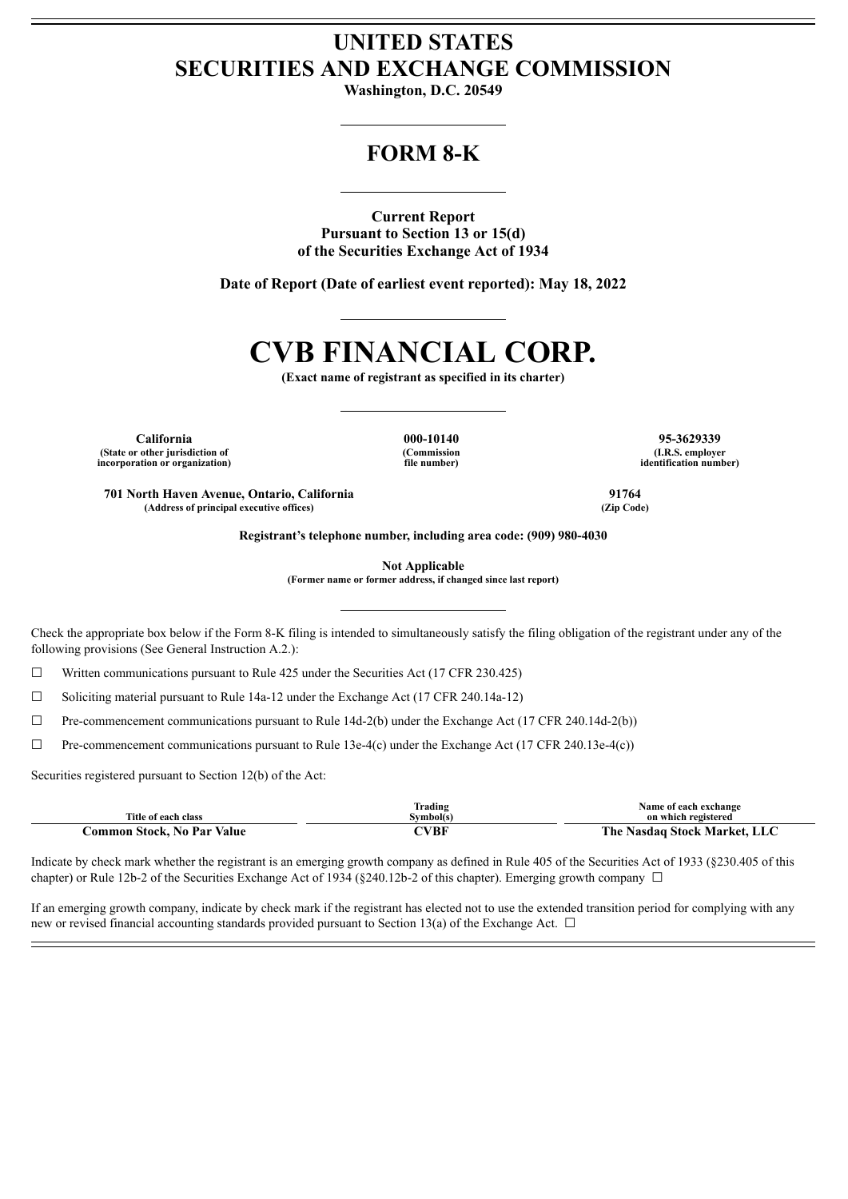## **UNITED STATES SECURITIES AND EXCHANGE COMMISSION**

**Washington, D.C. 20549**

## **FORM 8-K**

**Current Report Pursuant to Section 13 or 15(d) of the Securities Exchange Act of 1934**

**Date of Report (Date of earliest event reported): May 18, 2022**

# **CVB FINANCIAL CORP.**

**(Exact name of registrant as specified in its charter)**

**California 000-10140 95-3629339 (State or other jurisdiction of incorporation or organization)**

**(Commission file number)**

**(I.R.S. employer identification number)**

**701 North Haven Avenue, Ontario, California 91764 (Address of principal executive offices) (Zip Code)**

**Registrant's telephone number, including area code: (909) 980-4030**

**Not Applicable**

**(Former name or former address, if changed since last report)**

Check the appropriate box below if the Form 8-K filing is intended to simultaneously satisfy the filing obligation of the registrant under any of the following provisions (See General Instruction A.2.):

 $\Box$  Written communications pursuant to Rule 425 under the Securities Act (17 CFR 230.425)

☐ Soliciting material pursuant to Rule 14a-12 under the Exchange Act (17 CFR 240.14a-12)

 $\Box$  Pre-commencement communications pursuant to Rule 14d-2(b) under the Exchange Act (17 CFR 240.14d-2(b))

☐ Pre-commencement communications pursuant to Rule 13e-4(c) under the Exchange Act (17 CFR 240.13e-4(c))

Securities registered pursuant to Section 12(b) of the Act:

|                                   | Frading   | Name of each exchange        |
|-----------------------------------|-----------|------------------------------|
| Title of each class               | ivmbol(s) | on which registered          |
| <b>Common Stock, No Par Value</b> | CVBF      | The Nasdaq Stock Market, LLC |

Indicate by check mark whether the registrant is an emerging growth company as defined in Rule 405 of the Securities Act of 1933 (§230.405 of this chapter) or Rule 12b-2 of the Securities Exchange Act of 1934 (§240.12b-2 of this chapter). Emerging growth company  $\Box$ 

If an emerging growth company, indicate by check mark if the registrant has elected not to use the extended transition period for complying with any new or revised financial accounting standards provided pursuant to Section 13(a) of the Exchange Act.  $\Box$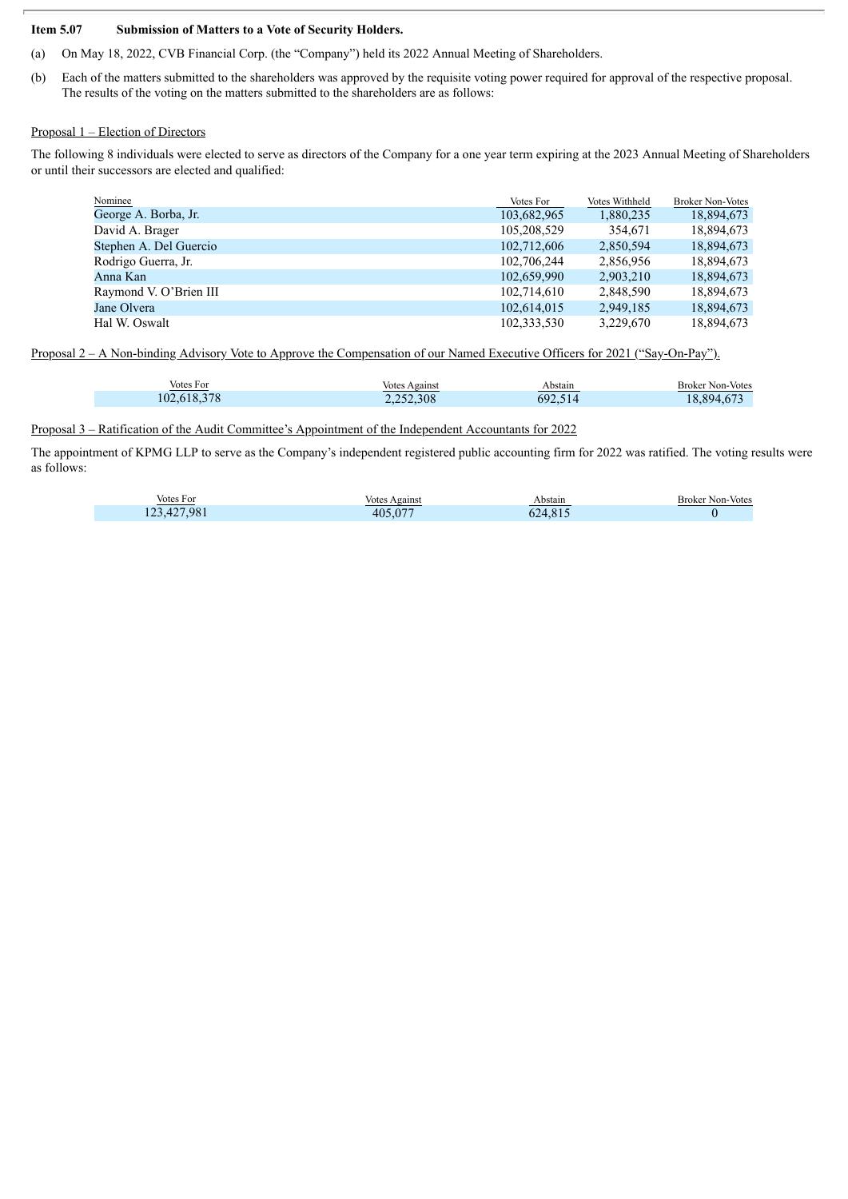#### **Item 5.07 Submission of Matters to a Vote of Security Holders.**

- (a) On May 18, 2022, CVB Financial Corp. (the "Company") held its 2022 Annual Meeting of Shareholders.
- (b) Each of the matters submitted to the shareholders was approved by the requisite voting power required for approval of the respective proposal. The results of the voting on the matters submitted to the shareholders are as follows:

#### Proposal 1 – Election of Directors

The following 8 individuals were elected to serve as directors of the Company for a one year term expiring at the 2023 Annual Meeting of Shareholders or until their successors are elected and qualified:

| Nominee                | Votes For   | Votes Withheld | <b>Broker Non-Votes</b> |
|------------------------|-------------|----------------|-------------------------|
| George A. Borba, Jr.   | 103,682,965 | 1,880,235      | 18,894,673              |
| David A. Brager        | 105,208,529 | 354.671        | 18,894,673              |
| Stephen A. Del Guercio | 102,712,606 | 2,850,594      | 18,894,673              |
| Rodrigo Guerra, Jr.    | 102.706.244 | 2.856.956      | 18.894.673              |
| Anna Kan               | 102,659,990 | 2,903,210      | 18,894,673              |
| Raymond V. O'Brien III | 102,714,610 | 2,848,590      | 18,894,673              |
| Jane Olvera            | 102,614,015 | 2.949.185      | 18,894,673              |
| Hal W. Oswalt          | 102,333,530 | 3,229,670      | 18.894.673              |

Proposal 2 – A Non-binding Advisory Vote to Approve the Compensation of our Named Executive Officers for 2021 ("Say-On-Pay").

| Votes For   | Votes Against | Abstain | <b>Broker Non-Votes</b> |
|-------------|---------------|---------|-------------------------|
| 102.618.378 | 2,252,308     | 692     | 3.894.67                |

Proposal 3 – Ratification of the Audit Committee's Appointment of the Independent Accountants for 2022

The appointment of KPMG LLP to serve as the Company's independent registered public accounting firm for 2022 was ratified. The voting results were as follows:

| Votes For   | <b>Votes Against</b> | Abstain | <b>Broker Non-Votes</b> |
|-------------|----------------------|---------|-------------------------|
| 123,427,981 | 405.077              | 624.815 |                         |